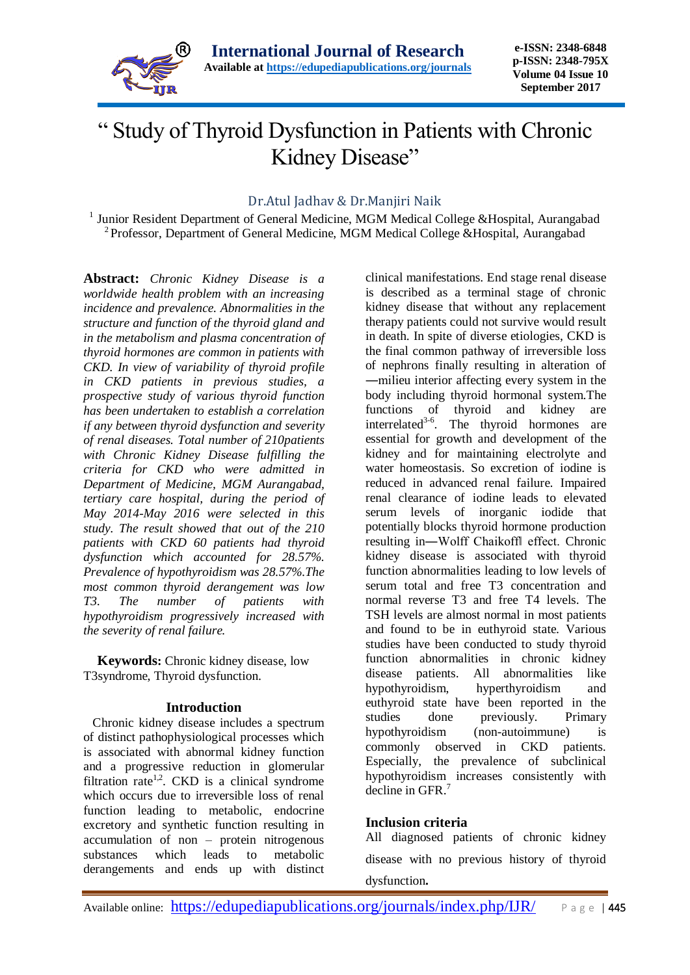

# " Study of Thyroid Dysfunction in Patients with Chronic Kidney Disease"

### Dr.Atul Jadhav & Dr.Manjiri Naik

<sup>1</sup> Junior Resident Department of General Medicine, MGM Medical College &Hospital, Aurangabad <sup>2</sup> Professor, Department of General Medicine, MGM Medical College &Hospital, Aurangabad

**Abstract:** *Chronic Kidney Disease is a worldwide health problem with an increasing incidence and prevalence. Abnormalities in the structure and function of the thyroid gland and in the metabolism and plasma concentration of thyroid hormones are common in patients with CKD. In view of variability of thyroid profile in CKD patients in previous studies, a prospective study of various thyroid function has been undertaken to establish a correlation if any between thyroid dysfunction and severity of renal diseases. Total number of 210patients with Chronic Kidney Disease fulfilling the criteria for CKD who were admitted in Department of Medicine, MGM Aurangabad, tertiary care hospital, during the period of May 2014-May 2016 were selected in this study. The result showed that out of the 210 patients with CKD 60 patients had thyroid dysfunction which accounted for 28.57%. Prevalence of hypothyroidism was 28.57%.The most common thyroid derangement was low T3. The number of patients with hypothyroidism progressively increased with the severity of renal failure.*

 **Keywords:** Chronic kidney disease, low T3syndrome, Thyroid dysfunction.

#### **Introduction**

 Chronic kidney disease includes a spectrum of distinct pathophysiological processes which is associated with abnormal kidney function and a progressive reduction in glomerular filtration rate<sup>1,2</sup>. CKD is a clinical syndrome which occurs due to irreversible loss of renal function leading to metabolic, endocrine excretory and synthetic function resulting in accumulation of non – protein nitrogenous substances which leads to metabolic derangements and ends up with distinct

clinical manifestations. End stage renal disease is described as a terminal stage of chronic kidney disease that without any replacement therapy patients could not survive would result in death. In spite of diverse etiologies, CKD is the final common pathway of irreversible loss of nephrons finally resulting in alteration of ―milieu interior affecting every system in the body including thyroid hormonal system.The functions of thyroid and kidney are interrelated<sup>3-6</sup>. The thyroid hormones are essential for growth and development of the kidney and for maintaining electrolyte and water homeostasis. So excretion of iodine is reduced in advanced renal failure. Impaired renal clearance of iodine leads to elevated serum levels of inorganic iodide that potentially blocks thyroid hormone production resulting in―Wolff Chaikoff‖ effect. Chronic kidney disease is associated with thyroid function abnormalities leading to low levels of serum total and free T3 concentration and normal reverse T3 and free T4 levels. The TSH levels are almost normal in most patients and found to be in euthyroid state. Various studies have been conducted to study thyroid function abnormalities in chronic kidney disease patients. All abnormalities like hypothyroidism, hyperthyroidism and euthyroid state have been reported in the studies done previously. Primary hypothyroidism (non-autoimmune) is commonly observed in CKD patients. Especially, the prevalence of subclinical hypothyroidism increases consistently with decline in GFR.<sup>7</sup>

#### **Inclusion criteria**

All diagnosed patients of chronic kidney disease with no previous history of thyroid dysfunction**.**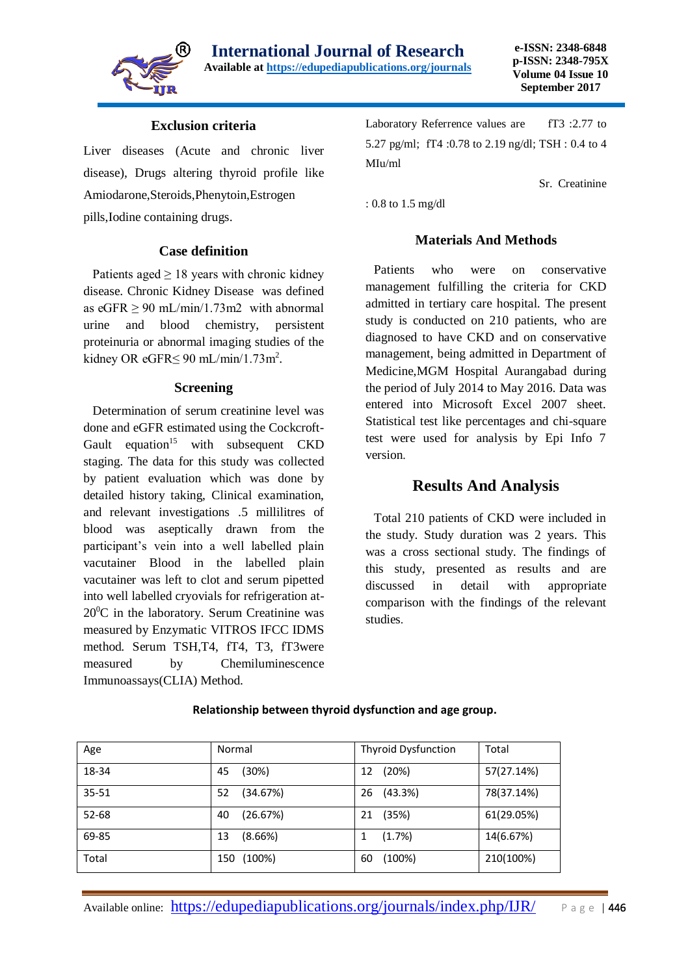

#### **Exclusion criteria**

Liver diseases (Acute and chronic liver disease), Drugs altering thyroid profile like Amiodarone,Steroids,Phenytoin,Estrogen pills,Iodine containing drugs.

#### **Case definition**

Patients aged  $\geq 18$  years with chronic kidney disease. Chronic Kidney Disease was defined as  $eGFR \ge 90$  mL/min/1.73m2 with abnormal urine and blood chemistry, persistent proteinuria or abnormal imaging studies of the kidney OR eGFR $\leq$  90 mL/min/1.73m<sup>2</sup>.

#### **Screening**

 Determination of serum creatinine level was done and eGFR estimated using the Cockcroft-Gault equation<sup>15</sup> with subsequent  $CKD$ staging. The data for this study was collected by patient evaluation which was done by detailed history taking, Clinical examination, and relevant investigations .5 millilitres of blood was aseptically drawn from the participant's vein into a well labelled plain vacutainer Blood in the labelled plain vacutainer was left to clot and serum pipetted into well labelled cryovials for refrigeration at- $20^0C$  in the laboratory. Serum Creatinine was measured by Enzymatic VITROS IFCC IDMS method. Serum TSH,T4, fT4, T3, fT3were measured by [Chemiluminescence](https://www.google.ch/url?sa=t&rct=j&q=&esrc=s&source=web&cd=1&cad=rja&uact=8&ved=0ahUKEwjetP2i6rHQAhWFnRoKHezrAf0QFggyMAA&url=https%3A%2F%2Fwww.calbiotech.com%2Fnews%2F128-clia&usg=AFQjCNFj3cvyoIL2wr2Y4R2Vd7o0zyRatw&bvm=bv.139250283,d.d2s)  [Immunoassays\(CLIA\)](https://www.google.ch/url?sa=t&rct=j&q=&esrc=s&source=web&cd=1&cad=rja&uact=8&ved=0ahUKEwjetP2i6rHQAhWFnRoKHezrAf0QFggyMAA&url=https%3A%2F%2Fwww.calbiotech.com%2Fnews%2F128-clia&usg=AFQjCNFj3cvyoIL2wr2Y4R2Vd7o0zyRatw&bvm=bv.139250283,d.d2s) Method.

Laboratory Referrence values are fT3 :2.77 to 5.27 pg/ml; fT4 :0.78 to 2.19 ng/dl; TSH : 0.4 to 4 MIu/ml

Sr. Creatinine

: 0.8 to 1.5 mg/dl

#### **Materials And Methods**

 Patients who were on conservative management fulfilling the criteria for CKD admitted in tertiary care hospital. The present study is conducted on 210 patients, who are diagnosed to have CKD and on conservative management, being admitted in Department of Medicine,MGM Hospital Aurangabad during the period of July 2014 to May 2016. Data was entered into Microsoft Excel 2007 sheet. Statistical test like percentages and chi-square test were used for analysis by Epi Info 7 version.

### **Results And Analysis**

 Total 210 patients of CKD were included in the study. Study duration was 2 years. This was a cross sectional study. The findings of this study, presented as results and are discussed in detail with appropriate comparison with the findings of the relevant studies.

| Age   | Normal         | <b>Thyroid Dysfunction</b> | Total      |
|-------|----------------|----------------------------|------------|
| 18-34 | (30%)<br>45    | (20%)<br>12                | 57(27.14%) |
| 35-51 | (34.67%)<br>52 | (43.3%)<br>26              | 78(37.14%) |
| 52-68 | (26.67%)<br>40 | (35%)<br>21                | 61(29.05%) |
| 69-85 | (8.66%)<br>13  | (1.7%)                     | 14(6.67%)  |
| Total | (100%)<br>150  | (100%)<br>60               | 210(100%)  |

#### **Relationship between thyroid dysfunction and age group.**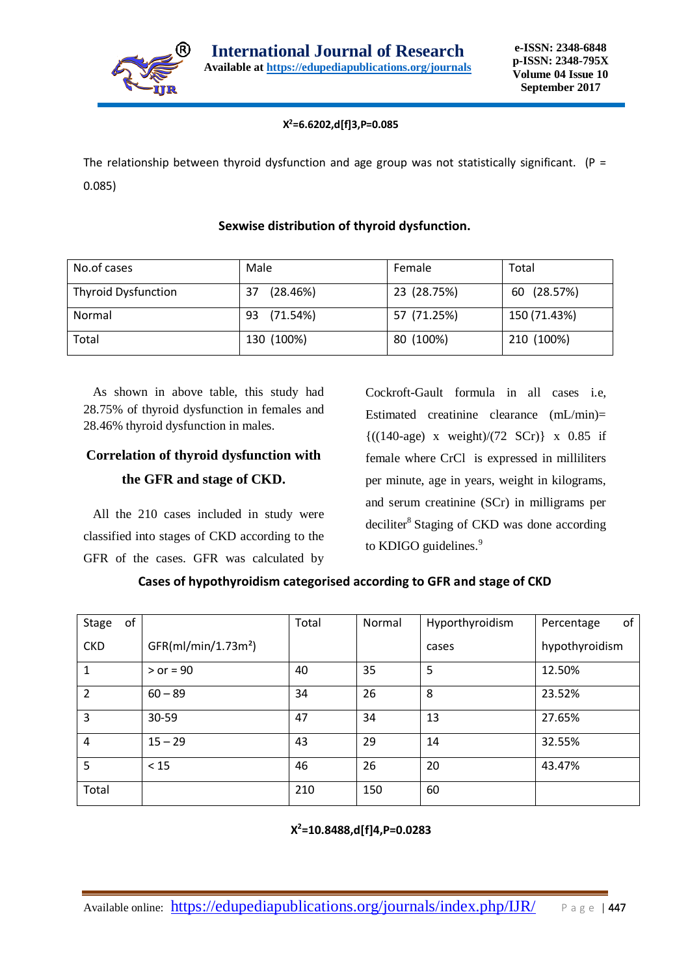

#### **X <sup>2</sup>=6.6202,d[f]3,P=0.085**

The relationship between thyroid dysfunction and age group was not statistically significant. (P = 0.085)

# No.of cases Male Male Remale Total Thyroid Dysfunction 37 (28.46%) 23 (28.75%) 60 (28.57%) Normal 93 (71.54%) 57 (71.25%) 150 (71.43%) Total 130 (100%) 80 (100%) 210 (100%)

#### **Sexwise distribution of thyroid dysfunction.**

 As shown in above table, this study had 28.75% of thyroid dysfunction in females and 28.46% thyroid dysfunction in males.

## **Correlation of thyroid dysfunction with the GFR and stage of CKD.**

 All the 210 cases included in study were classified into stages of CKD according to the GFR of the cases. GFR was calculated by Cockroft-Gault formula in all cases i.e, Estimated creatinine clearance (mL/min)=  ${((140-age) x weight)/(72 SCr)} x 0.85 if$ female where CrCl is expressed in milliliters per minute, age in years, weight in kilograms, and serum creatinine (SCr) in milligrams per deciliter<sup>8</sup> Staging of CKD was done according to KDIGO guidelines.<sup>9</sup>

| Cases of hypothyroidism categorised according to GFR and stage of CKD |  |  |  |  |  |
|-----------------------------------------------------------------------|--|--|--|--|--|
|-----------------------------------------------------------------------|--|--|--|--|--|

| of<br><b>Stage</b> |                                 | Total | Normal | Hyporthyroidism | of<br>Percentage |
|--------------------|---------------------------------|-------|--------|-----------------|------------------|
| <b>CKD</b>         | GFR(mI/min/1.73m <sup>2</sup> ) |       |        | cases           | hypothyroidism   |
| 1                  | $>$ or = 90                     | 40    | 35     | 5               | 12.50%           |
| $\overline{2}$     | $60 - 89$                       | 34    | 26     | 8               | 23.52%           |
| 3                  | 30-59                           | 47    | 34     | 13              | 27.65%           |
| 4                  | $15 - 29$                       | 43    | 29     | 14              | 32.55%           |
| 5                  | < 15                            | 46    | 26     | 20              | 43.47%           |
| Total              |                                 | 210   | 150    | 60              |                  |

#### **x** X **<sup>2</sup>=10.8488,d[f]4,P=0.0283**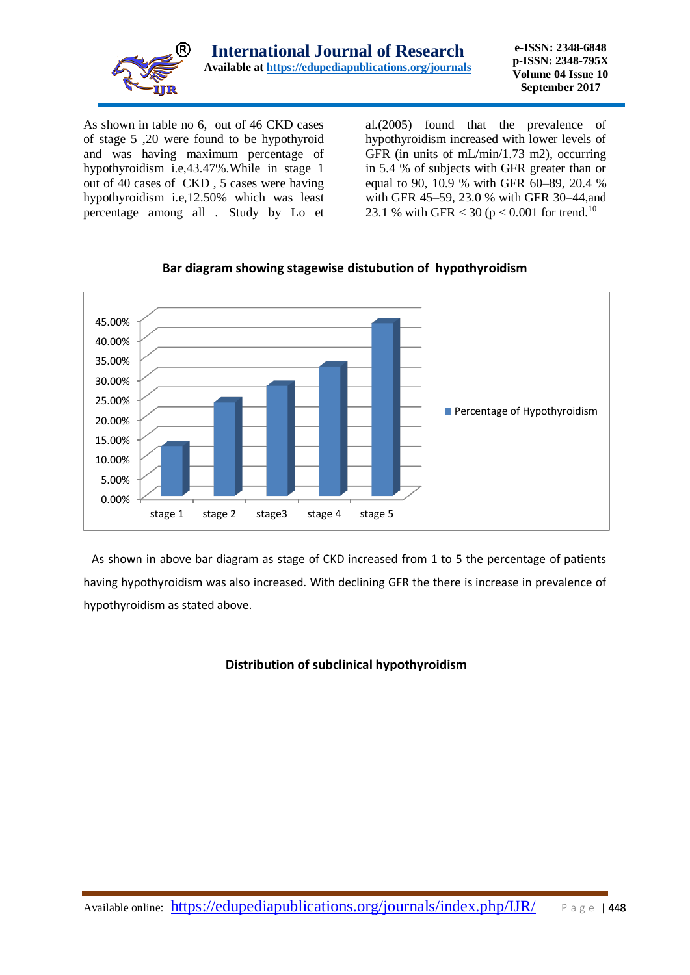

As shown in table no 6, out of 46 CKD cases of stage 5 ,20 were found to be hypothyroid and was having maximum percentage of hypothyroidism i.e,43.47%.While in stage 1 out of 40 cases of CKD , 5 cases were having hypothyroidism i.e,12.50% which was least percentage among all . Study by Lo et

al.(2005) found that the prevalence of hypothyroidism increased with lower levels of GFR (in units of mL/min/1.73 m2), occurring in 5.4 % of subjects with GFR greater than or equal to 90, 10.9 % with GFR 60–89, 20.4 % with GFR 45–59, 23.0 % with GFR 30–44,and 23.1 % with GFR < 30 ( $p < 0.001$  for trend.<sup>10</sup>



#### **Bar diagram showing stagewise distubution of hypothyroidism**

 As shown in above bar diagram as stage of CKD increased from 1 to 5 the percentage of patients having hypothyroidism was also increased. With declining GFR the there is increase in prevalence of hypothyroidism as stated above.

#### **Distribution of subclinical hypothyroidism**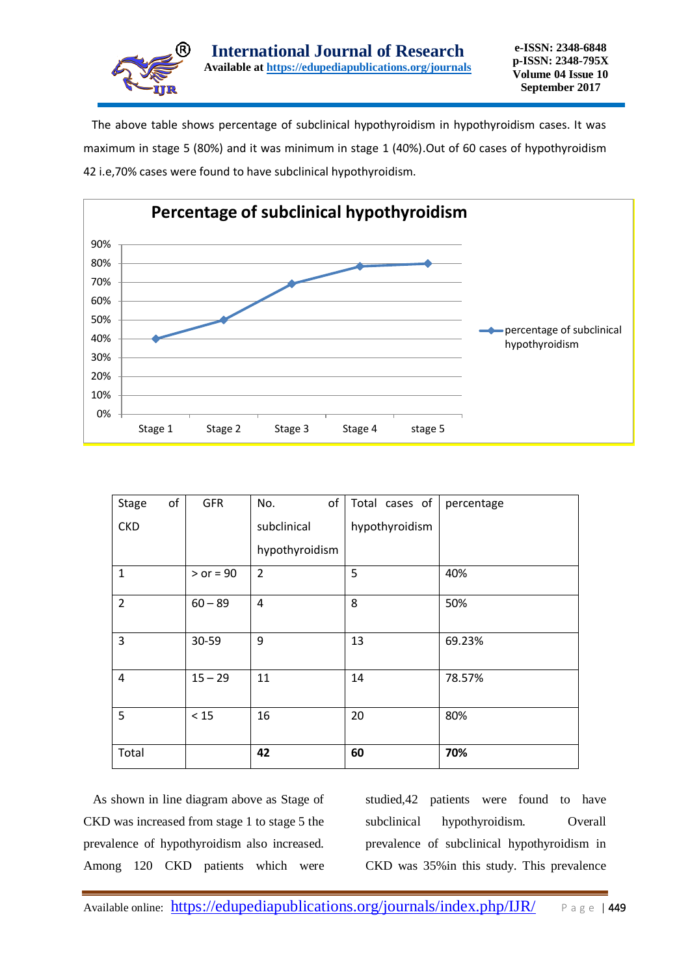

 The above table shows percentage of subclinical hypothyroidism in hypothyroidism cases. It was maximum in stage 5 (80%) and it was minimum in stage 1 (40%).Out of 60 cases of hypothyroidism 42 i.e,70% cases were found to have subclinical hypothyroidism.



| <b>Stage</b>   | of | <b>GFR</b>  | of<br>No.      | Total cases of | percentage |
|----------------|----|-------------|----------------|----------------|------------|
| <b>CKD</b>     |    |             | subclinical    | hypothyroidism |            |
|                |    |             | hypothyroidism |                |            |
| $\mathbf{1}$   |    | $>$ or = 90 | $\overline{2}$ | 5              | 40%        |
| $\overline{2}$ |    | $60 - 89$   | 4              | 8              | 50%        |
| 3              |    | 30-59       | 9              | 13             | 69.23%     |
| 4              |    | $15 - 29$   | 11             | 14             | 78.57%     |
| 5              |    | $<15$       | 16             | 20             | 80%        |
| Total          |    |             | 42             | 60             | 70%        |

 As shown in line diagram above as Stage of CKD was increased from stage 1 to stage 5 the prevalence of hypothyroidism also increased. Among 120 CKD patients which were studied,42 patients were found to have subclinical hypothyroidism. Overall prevalence of subclinical hypothyroidism in CKD was 35%in this study. This prevalence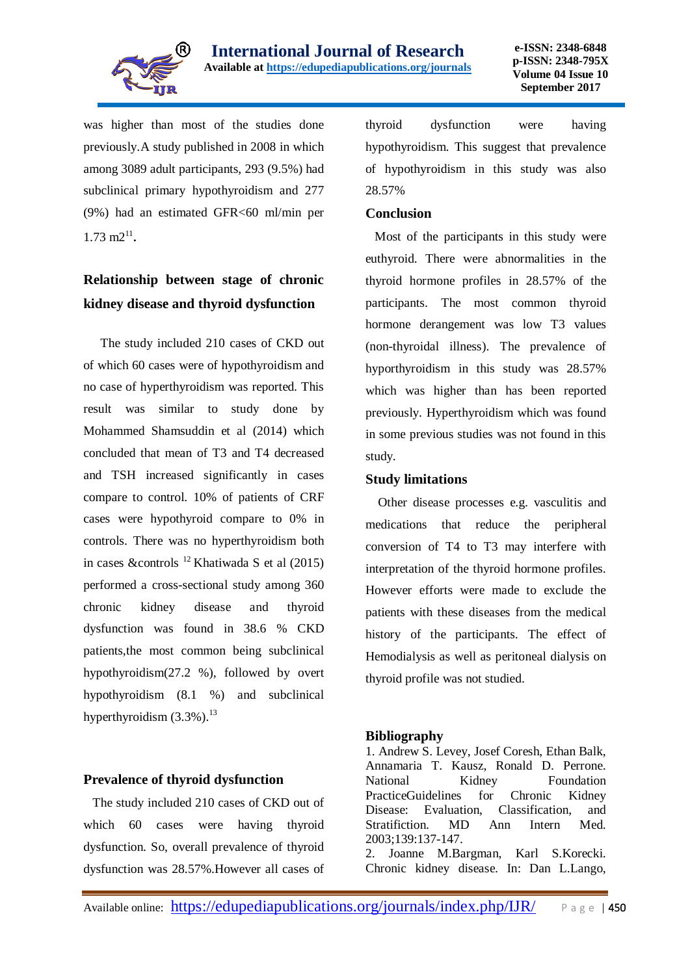

was higher than most of the studies done previously.A study published in 2008 in which among 3089 adult participants, 293 (9.5%) had subclinical primary hypothyroidism and 277 (9%) had an estimated GFR<60 ml/min per  $1.73 \text{ m2}^{11}$ .

## **Relationship between stage of chronic kidney disease and thyroid dysfunction**

The study included 210 cases of CKD out of which 60 cases were of hypothyroidism and no case of hyperthyroidism was reported. This result was similar to study done by Mohammed Shamsuddin et al (2014) which concluded that mean of T3 and T4 decreased and TSH increased significantly in cases compare to control. 10% of patients of CRF cases were hypothyroid compare to 0% in controls. There was no hyperthyroidism both in cases &controls <sup>12</sup> Khatiwada S et al (2015) performed a cross-sectional study among 360 chronic kidney disease and thyroid dysfunction was found in 38.6 % CKD patients,the most common being subclinical hypothyroidism(27.2 %), followed by overt hypothyroidism (8.1 %) and subclinical hyperthyroidism  $(3.3\%)$ .<sup>13</sup>

#### **Prevalence of thyroid dysfunction**

 The study included 210 cases of CKD out of which 60 cases were having thyroid dysfunction. So, overall prevalence of thyroid dysfunction was 28.57%.However all cases of thyroid dysfunction were having hypothyroidism. This suggest that prevalence of hypothyroidism in this study was also 28.57%

#### **Conclusion**

 Most of the participants in this study were euthyroid. There were abnormalities in the thyroid hormone profiles in 28.57% of the participants. The most common thyroid hormone derangement was low T3 values (non-thyroidal illness). The prevalence of hyporthyroidism in this study was 28.57% which was higher than has been reported previously. Hyperthyroidism which was found in some previous studies was not found in this study.

#### **Study limitations**

 Other disease processes e.g. vasculitis and medications that reduce the peripheral conversion of T4 to T3 may interfere with interpretation of the thyroid hormone profiles. However efforts were made to exclude the patients with these diseases from the medical history of the participants. The effect of Hemodialysis as well as peritoneal dialysis on thyroid profile was not studied.

#### **Bibliography**

1. Andrew S. Levey, Josef Coresh, Ethan Balk, Annamaria T. Kausz, Ronald D. Perrone. National Kidney Foundation PracticeGuidelines for Chronic Kidney Disease: Evaluation, Classification, and Stratifiction. MD Ann Intern Med. 2003;139:137-147.

2. Joanne M.Bargman, Karl S.Korecki. Chronic kidney disease. In: Dan L.Lango,